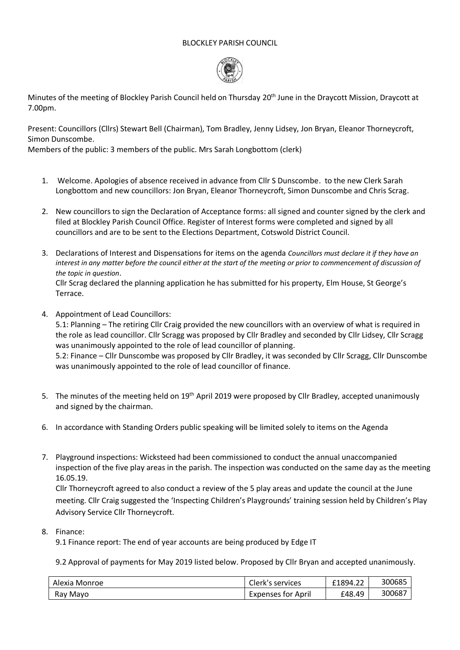## BLOCKLEY PARISH COUNCIL



Minutes of the meeting of Blockley Parish Council held on Thursday 20<sup>th</sup> June in the Draycott Mission, Draycott at 7.00pm.

Present: Councillors (Cllrs) Stewart Bell (Chairman), Tom Bradley, Jenny Lidsey, Jon Bryan, Eleanor Thorneycroft, Simon Dunscombe.

Members of the public: 3 members of the public. Mrs Sarah Longbottom (clerk)

- 1. Welcome. Apologies of absence received in advance from Cllr S Dunscombe. to the new Clerk Sarah Longbottom and new councillors: Jon Bryan, Eleanor Thorneycroft, Simon Dunscombe and Chris Scrag.
- 2. New councillors to sign the Declaration of Acceptance forms: all signed and counter signed by the clerk and filed at Blockley Parish Council Office. Register of Interest forms were completed and signed by all councillors and are to be sent to the Elections Department, Cotswold District Council.
- 3. Declarations of Interest and Dispensations for items on the agenda *Councillors must declare it if they have an interest in any matter before the council either at the start of the meeting or prior to commencement of discussion of the topic in question*.

Cllr Scrag declared the planning application he has submitted for his property, Elm House, St George's Terrace.

4. Appointment of Lead Councillors:

5.1: Planning – The retiring Cllr Craig provided the new councillors with an overview of what is required in the role as lead councillor. Cllr Scragg was proposed by Cllr Bradley and seconded by Cllr Lidsey, Cllr Scragg was unanimously appointed to the role of lead councillor of planning.

5.2: Finance – Cllr Dunscombe was proposed by Cllr Bradley, it was seconded by Cllr Scragg, Cllr Dunscombe was unanimously appointed to the role of lead councillor of finance.

- 5. The minutes of the meeting held on 19<sup>th</sup> April 2019 were proposed by Cllr Bradley, accepted unanimously and signed by the chairman.
- 6. In accordance with Standing Orders public speaking will be limited solely to items on the Agenda
- 7. Playground inspections: Wicksteed had been commissioned to conduct the annual unaccompanied inspection of the five play areas in the parish. The inspection was conducted on the same day as the meeting 16.05.19.

Cllr Thorneycroft agreed to also conduct a review of the 5 play areas and update the council at the June meeting. Cllr Craig suggested the 'Inspecting Children's Playgrounds' training session held by Children's Play Advisory Service Cllr Thorneycroft.

## 8. Finance:

9.1 Finance report: The end of year accounts are being produced by Edge IT

9.2 Approval of payments for May 2019 listed below. Proposed by Cllr Bryan and accepted unanimously.

| Alexia Monroe | Clerk's services   | £1894.22 | 300685 |
|---------------|--------------------|----------|--------|
| Ray Mayo      | Expenses for April | £48.49   | 30068  |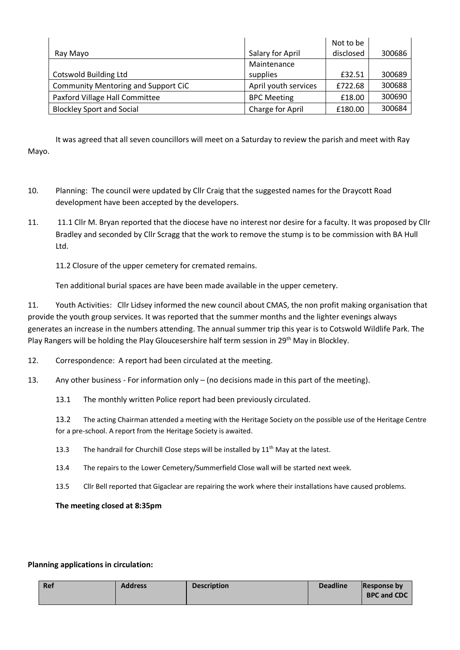|                                     |                      | Not to be |        |
|-------------------------------------|----------------------|-----------|--------|
| Ray Mayo                            | Salary for April     | disclosed | 300686 |
|                                     | Maintenance          |           |        |
| <b>Cotswold Building Ltd</b>        | supplies             | £32.51    | 300689 |
| Community Mentoring and Support CiC | April youth services | £722.68   | 300688 |
| Paxford Village Hall Committee      | <b>BPC Meeting</b>   | £18.00    | 300690 |
| <b>Blockley Sport and Social</b>    | Charge for April     | £180.00   | 300684 |

It was agreed that all seven councillors will meet on a Saturday to review the parish and meet with Ray Mayo.

- 10. Planning: The council were updated by Cllr Craig that the suggested names for the Draycott Road development have been accepted by the developers.
- 11. 11.1 Cllr M. Bryan reported that the diocese have no interest nor desire for a faculty. It was proposed by Cllr Bradley and seconded by Cllr Scragg that the work to remove the stump is to be commission with BA Hull Ltd.

11.2 Closure of the upper cemetery for cremated remains.

Ten additional burial spaces are have been made available in the upper cemetery.

11. Youth Activities: Cllr Lidsey informed the new council about CMAS, the non profit making organisation that provide the youth group services. It was reported that the summer months and the lighter evenings always generates an increase in the numbers attending. The annual summer trip this year is to Cotswold Wildlife Park. The Play Rangers will be holding the Play Gloucesershire half term session in 29<sup>th</sup> May in Blockley.

- 12. Correspondence: A report had been circulated at the meeting.
- 13. Any other business For information only (no decisions made in this part of the meeting).
	- 13.1 The monthly written Police report had been previously circulated.

13.2 The acting Chairman attended a meeting with the Heritage Society on the possible use of the Heritage Centre for a pre-school. A report from the Heritage Society is awaited.

- 13.3 The handrail for Churchill Close steps will be installed by  $11<sup>th</sup>$  May at the latest.
- 13.4 The repairs to the Lower Cemetery/Summerfield Close wall will be started next week.
- 13.5 Cllr Bell reported that Gigaclear are repairing the work where their installations have caused problems.

**The meeting closed at 8:35pm**

## **Planning applications in circulation:**

| l Ref | <b>Address</b> | <b>Description</b> | <b>Deadline</b> | <b>Response by</b> |
|-------|----------------|--------------------|-----------------|--------------------|
|       |                |                    |                 | <b>BPC and CDC</b> |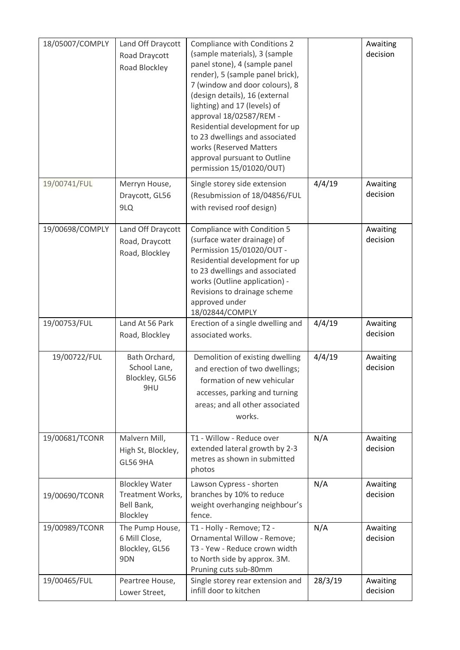| 18/05007/COMPLY | Land Off Draycott<br>Road Draycott<br>Road Blockley                 | Compliance with Conditions 2<br>(sample materials), 3 (sample<br>panel stone), 4 (sample panel<br>render), 5 (sample panel brick),<br>7 (window and door colours), 8<br>(design details), 16 (external<br>lighting) and 17 (levels) of<br>approval 18/02587/REM -<br>Residential development for up<br>to 23 dwellings and associated<br>works (Reserved Matters<br>approval pursuant to Outline<br>permission 15/01020/OUT) |         | Awaiting<br>decision |
|-----------------|---------------------------------------------------------------------|------------------------------------------------------------------------------------------------------------------------------------------------------------------------------------------------------------------------------------------------------------------------------------------------------------------------------------------------------------------------------------------------------------------------------|---------|----------------------|
| 19/00741/FUL    | Merryn House,<br>Draycott, GL56<br>9LQ                              | Single storey side extension<br>(Resubmission of 18/04856/FUL<br>with revised roof design)                                                                                                                                                                                                                                                                                                                                   | 4/4/19  | Awaiting<br>decision |
| 19/00698/COMPLY | Land Off Draycott<br>Road, Draycott<br>Road, Blockley               | Compliance with Condition 5<br>(surface water drainage) of<br>Permission 15/01020/OUT -<br>Residential development for up<br>to 23 dwellings and associated<br>works (Outline application) -<br>Revisions to drainage scheme<br>approved under<br>18/02844/COMPLY                                                                                                                                                            |         | Awaiting<br>decision |
| 19/00753/FUL    | Land At 56 Park<br>Road, Blockley                                   | Erection of a single dwelling and<br>associated works.                                                                                                                                                                                                                                                                                                                                                                       | 4/4/19  | Awaiting<br>decision |
| 19/00722/FUL    | Bath Orchard,<br>School Lane,<br>Blockley, GL56<br>9HU              | Demolition of existing dwelling<br>and erection of two dwellings;<br>formation of new vehicular<br>accesses, parking and turning<br>areas; and all other associated<br>works.                                                                                                                                                                                                                                                | 4/4/19  | Awaiting<br>decision |
| 19/00681/TCONR  | Malvern Mill,<br>High St, Blockley,<br><b>GL56 9HA</b>              | T1 - Willow - Reduce over<br>extended lateral growth by 2-3<br>metres as shown in submitted<br>photos                                                                                                                                                                                                                                                                                                                        | N/A     | Awaiting<br>decision |
| 19/00690/TCONR  | <b>Blockley Water</b><br>Treatment Works,<br>Bell Bank,<br>Blockley | Lawson Cypress - shorten<br>branches by 10% to reduce<br>weight overhanging neighbour's<br>fence.                                                                                                                                                                                                                                                                                                                            | N/A     | Awaiting<br>decision |
| 19/00989/TCONR  | The Pump House,<br>6 Mill Close,<br>Blockley, GL56<br>9DN           | T1 - Holly - Remove; T2 -<br>Ornamental Willow - Remove;<br>T3 - Yew - Reduce crown width<br>to North side by approx. 3M.<br>Pruning cuts sub-80mm                                                                                                                                                                                                                                                                           | N/A     | Awaiting<br>decision |
| 19/00465/FUL    | Peartree House,<br>Lower Street,                                    | Single storey rear extension and<br>infill door to kitchen                                                                                                                                                                                                                                                                                                                                                                   | 28/3/19 | Awaiting<br>decision |